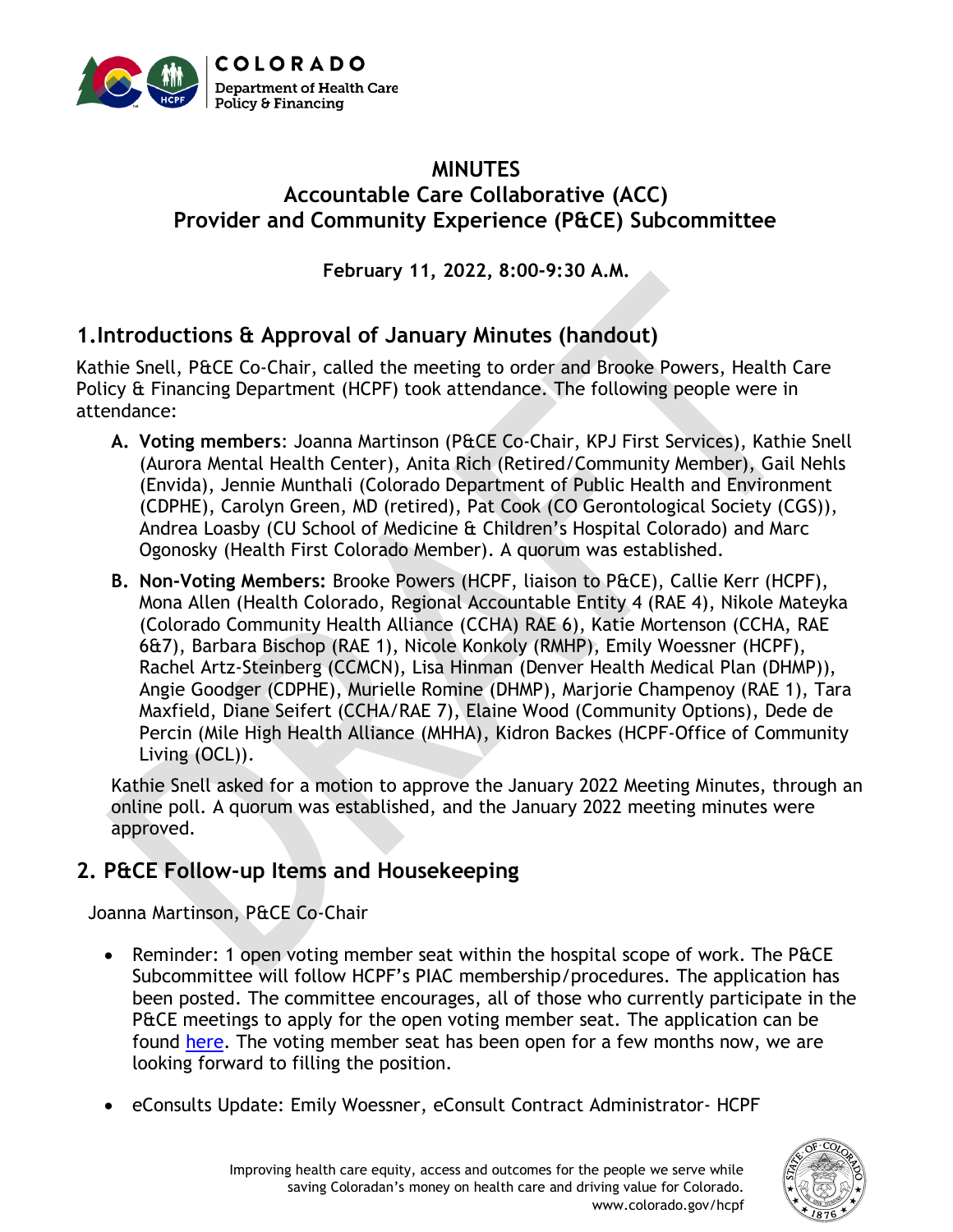

#### **MINUTES Accountable Care Collaborative (ACC) Provider and Community Experience (P&CE) Subcommittee**

**February 11, 2022, 8:00-9:30 A.M.**

# **1.Introductions & Approval of January Minutes (handout)**

Kathie Snell, P&CE Co-Chair, called the meeting to order and Brooke Powers, Health Care Policy & Financing Department (HCPF) took attendance. The following people were in attendance:

- **A. Voting members**: Joanna Martinson (P&CE Co-Chair, KPJ First Services), Kathie Snell (Aurora Mental Health Center), Anita Rich (Retired/Community Member), Gail Nehls (Envida), Jennie Munthali (Colorado Department of Public Health and Environment (CDPHE), Carolyn Green, MD (retired), Pat Cook (CO Gerontological Society (CGS)), Andrea Loasby (CU School of Medicine & Children's Hospital Colorado) and Marc Ogonosky (Health First Colorado Member). A quorum was established.
- **B. Non-Voting Members:** Brooke Powers (HCPF, liaison to P&CE), Callie Kerr (HCPF), Mona Allen (Health Colorado, Regional Accountable Entity 4 (RAE 4), Nikole Mateyka (Colorado Community Health Alliance (CCHA) RAE 6), Katie Mortenson (CCHA, RAE 6&7), Barbara Bischop (RAE 1), Nicole Konkoly (RMHP), Emily Woessner (HCPF), Rachel Artz-Steinberg (CCMCN), Lisa Hinman (Denver Health Medical Plan (DHMP)), Angie Goodger (CDPHE), Murielle Romine (DHMP), Marjorie Champenoy (RAE 1), Tara Maxfield, Diane Seifert (CCHA/RAE 7), Elaine Wood (Community Options), Dede de Percin (Mile High Health Alliance (MHHA), Kidron Backes (HCPF-Office of Community Living (OCL)).

Kathie Snell asked for a motion to approve the January 2022 Meeting Minutes, through an online poll. A quorum was established, and the January 2022 meeting minutes were approved.

# **2. P&CE Follow-up Items and Housekeeping**

Joanna Martinson, P&CE Co-Chair

- Reminder: 1 open voting member seat within the hospital scope of work. The P&CE Subcommittee will follow HCPF's PIAC membership/procedures. The application has been posted. The committee encourages, all of those who currently participate in the P&CE meetings to apply for the open voting member seat. The application can be found [here.](https://docs.google.com/forms/d/e/1FAIpQLSf_Vli4tbXwRB40CbK6RvopPq2ab3ThM2MBKpdX5TjIrXlw1A/viewform) The voting member seat has been open for a few months now, we are looking forward to filling the position.
- eConsults Update: Emily Woessner, eConsult Contract Administrator- HCPF

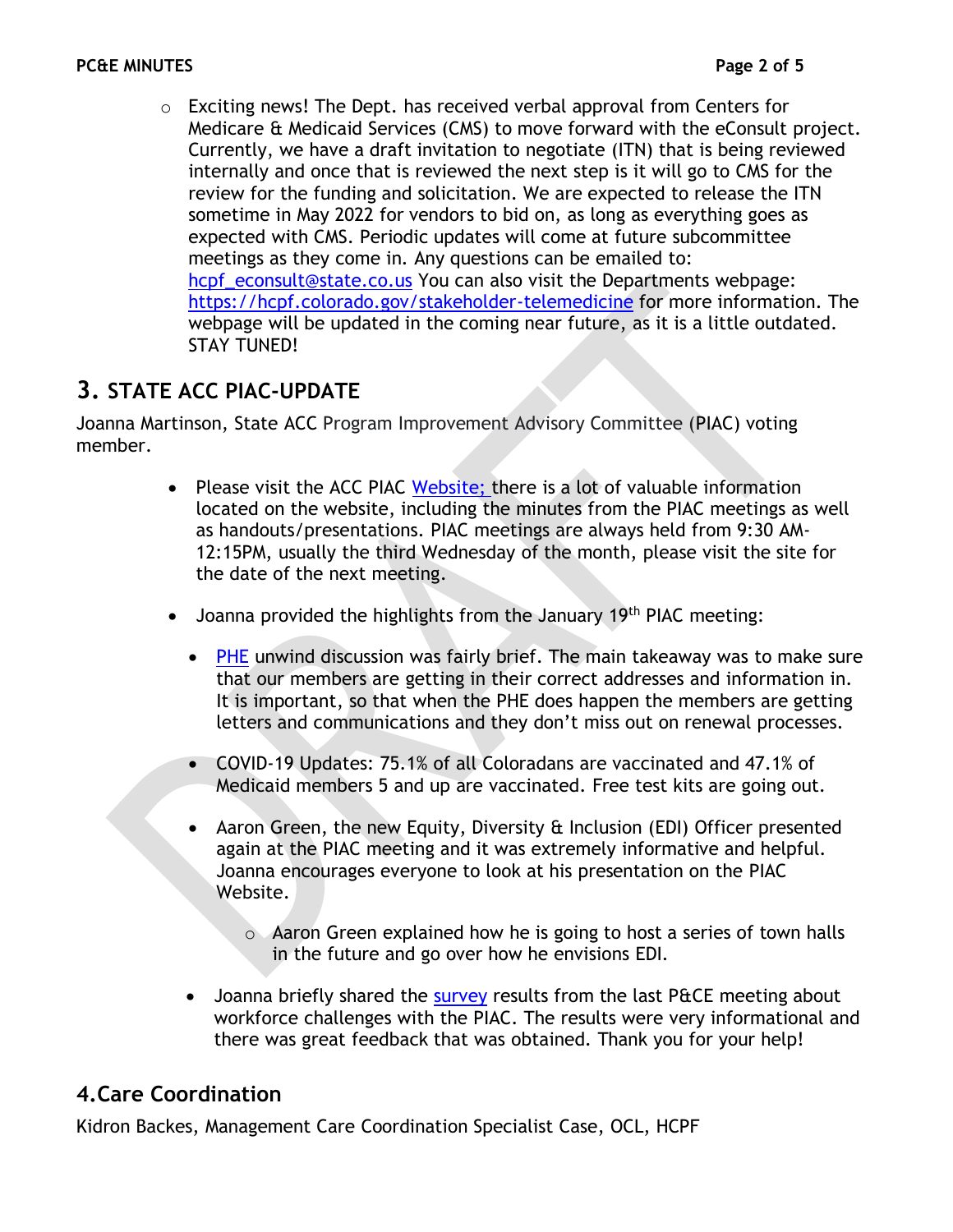$\circ$  Exciting news! The Dept. has received verbal approval from Centers for Medicare & Medicaid Services (CMS) to move forward with the eConsult project. Currently, we have a draft invitation to negotiate (ITN) that is being reviewed internally and once that is reviewed the next step is it will go to CMS for the review for the funding and solicitation. We are expected to release the ITN sometime in May 2022 for vendors to bid on, as long as everything goes as expected with CMS. Periodic updates will come at future subcommittee meetings as they come in. Any questions can be emailed to: [hcpf\\_econsult@state.co.us](mailto:hcpf_econsult@state.co.us) You can also visit the Departments webpage: <https://hcpf.colorado.gov/stakeholder-telemedicine> for more information. The webpage will be updated in the coming near future, as it is a little outdated. STAY TUNED!

# **3. STATE ACC PIAC-UPDATE**

Joanna Martinson, State ACC Program Improvement Advisory Committee (PIAC) voting member.

- Please visit the ACC PIAC [Website;](https://hcpf.colorado.gov/accountable-care-collaborative-program-improvement-advisory-committee) there is a lot of valuable information located on the website, including the minutes from the PIAC meetings as well as handouts/presentations. PIAC meetings are always held from 9:30 AM-12:15PM, usually the third Wednesday of the month, please visit the site for the date of the next meeting.
- Joanna provided the highlights from the January 19<sup>th</sup> PIAC meeting:
	- [PHE](https://hcpf.colorado.gov/phe-planning) unwind discussion was fairly brief. The main takeaway was to make sure that our members are getting in their correct addresses and information in. It is important, so that when the PHE does happen the members are getting letters and communications and they don't miss out on renewal processes.
	- COVID-19 Updates: 75.1% of all Coloradans are vaccinated and 47.1% of Medicaid members 5 and up are vaccinated. Free test kits are going out.
	- Aaron Green, the new Equity, Diversity & Inclusion (EDI) Officer presented again at the PIAC meeting and it was extremely informative and helpful. Joanna encourages everyone to look at his presentation on the PIAC Website.
		- o Aaron Green explained how he is going to host a series of town halls in the future and go over how he envisions EDI.
	- Joanna briefly shared the [survey](https://www.surveymonkey.com/results/SM-LQ7C835C9/) results from the last P&CE meeting about workforce challenges with the PIAC. The results were very informational and there was great feedback that was obtained. Thank you for your help!

# **4.Care Coordination**

Kidron Backes, Management Care Coordination Specialist Case, OCL, HCPF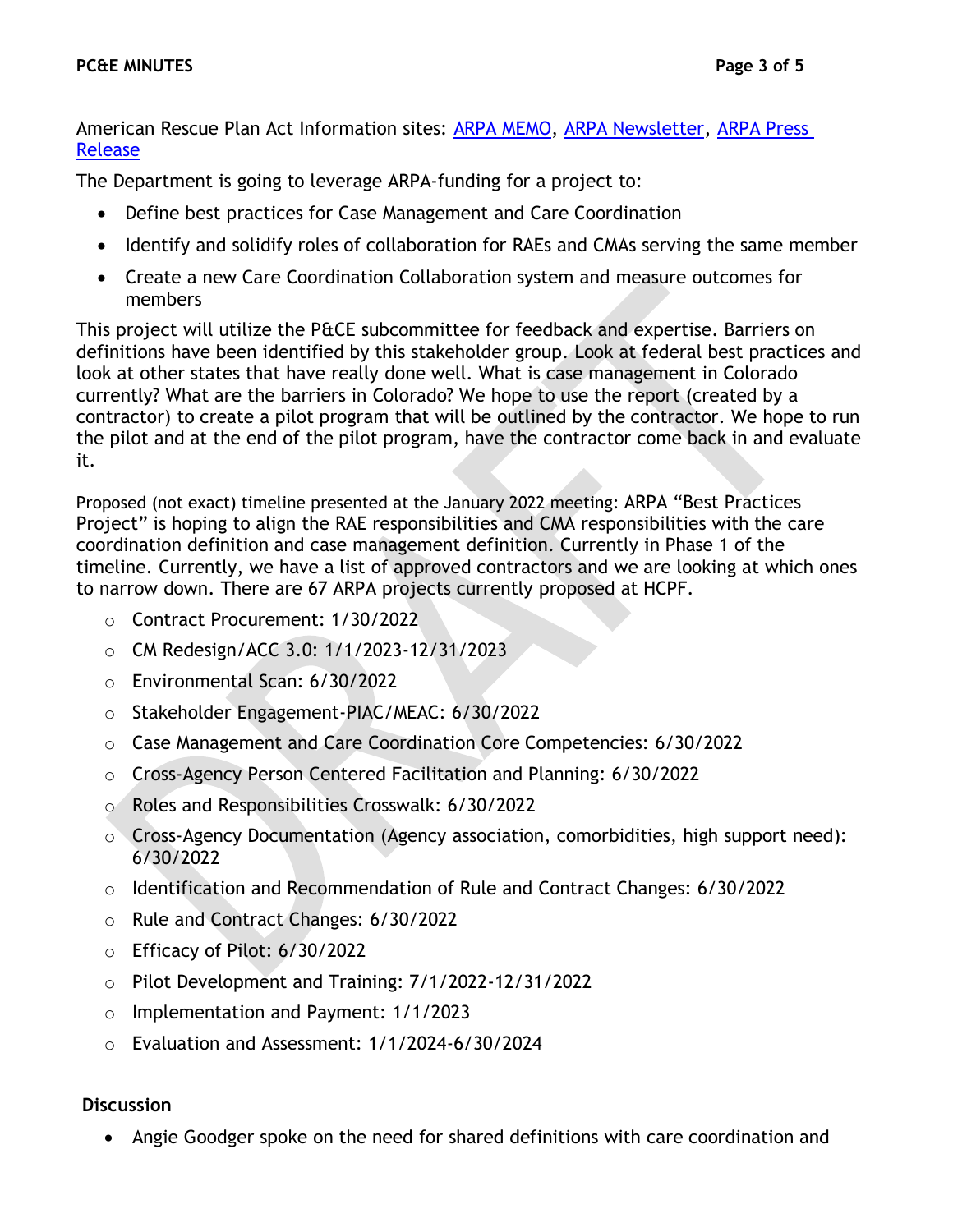American Rescue Plan Act Information sites: [ARPA MEMO,](https://hcpf.colorado.gov/2021-memo-series-communication) [ARPA Newsletter,](https://lp.constantcontactpages.com/su/hcMkUsw/ARPANewsletter) [ARPA Press](https://hcpf.colorado.gov/cms-and-colorados-joint-budget-committee-approve-530-million-arpa-funds-to-transform)  [Release](https://hcpf.colorado.gov/cms-and-colorados-joint-budget-committee-approve-530-million-arpa-funds-to-transform)

The Department is going to leverage ARPA-funding for a project to:

- Define best practices for Case Management and Care Coordination
- Identify and solidify roles of collaboration for RAEs and CMAs serving the same member
- Create a new Care Coordination Collaboration system and measure outcomes for members

This project will utilize the P&CE subcommittee for feedback and expertise. Barriers on definitions have been identified by this stakeholder group. Look at federal best practices and look at other states that have really done well. What is case management in Colorado currently? What are the barriers in Colorado? We hope to use the report (created by a contractor) to create a pilot program that will be outlined by the contractor. We hope to run the pilot and at the end of the pilot program, have the contractor come back in and evaluate it.

Proposed (not exact) timeline presented at the January 2022 meeting: ARPA "Best Practices Project" is hoping to align the RAE responsibilities and CMA responsibilities with the care coordination definition and case management definition. Currently in Phase 1 of the timeline. Currently, we have a list of approved contractors and we are looking at which ones to narrow down. There are 67 ARPA projects currently proposed at HCPF.

- o Contract Procurement: 1/30/2022
- o CM Redesign/ACC 3.0: 1/1/2023-12/31/2023
- o Environmental Scan: 6/30/2022
- o Stakeholder Engagement-PIAC/MEAC: 6/30/2022
- o Case Management and Care Coordination Core Competencies: 6/30/2022
- o Cross-Agency Person Centered Facilitation and Planning: 6/30/2022
- o Roles and Responsibilities Crosswalk: 6/30/2022
- o Cross-Agency Documentation (Agency association, comorbidities, high support need): 6/30/2022
- o Identification and Recommendation of Rule and Contract Changes: 6/30/2022
- o Rule and Contract Changes: 6/30/2022
- o Efficacy of Pilot: 6/30/2022
- o Pilot Development and Training: 7/1/2022-12/31/2022
- o Implementation and Payment: 1/1/2023
- o Evaluation and Assessment: 1/1/2024-6/30/2024

#### **Discussion**

• Angie Goodger spoke on the need for shared definitions with care coordination and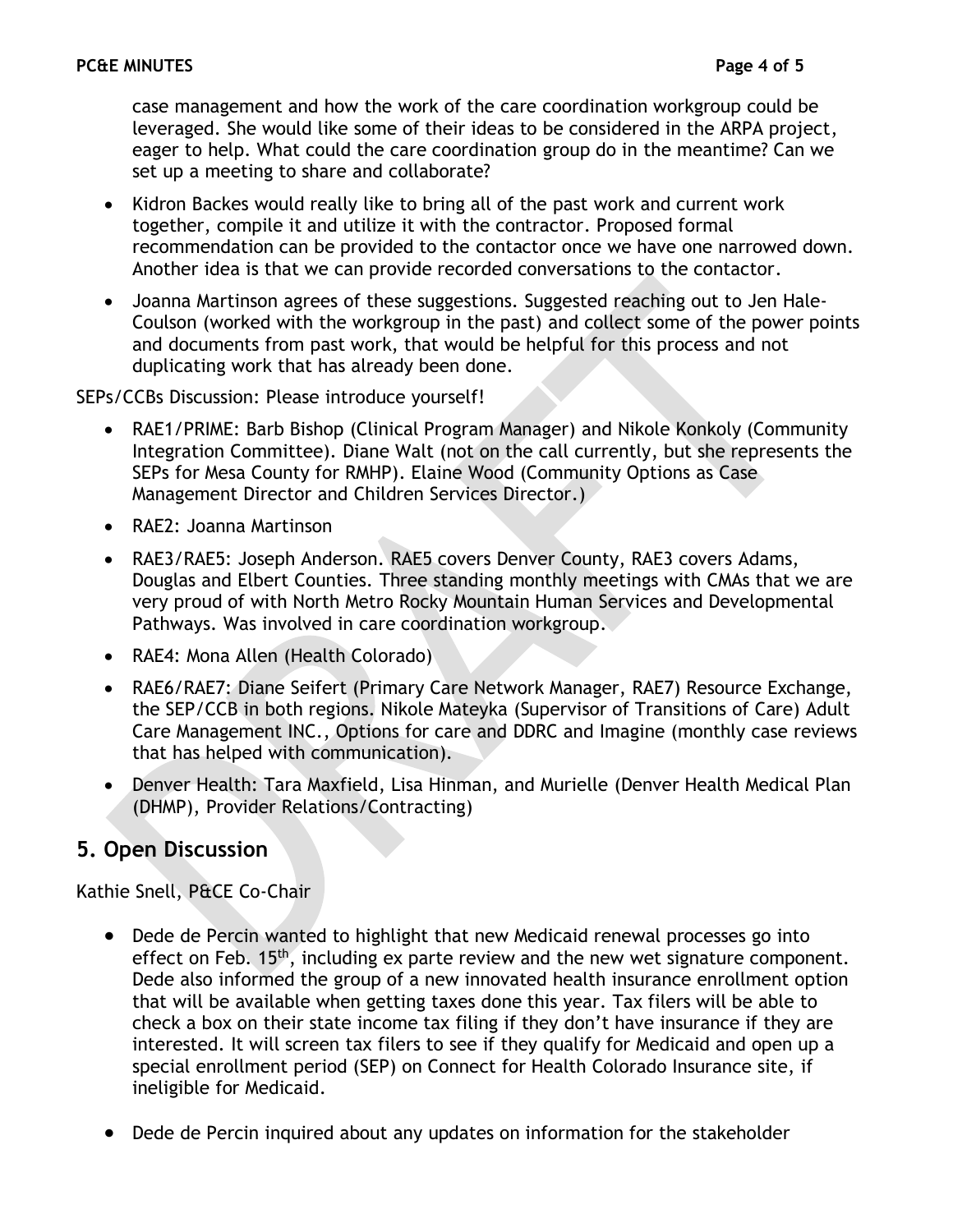case management and how the work of the care coordination workgroup could be leveraged. She would like some of their ideas to be considered in the ARPA project, eager to help. What could the care coordination group do in the meantime? Can we set up a meeting to share and collaborate?

- Kidron Backes would really like to bring all of the past work and current work together, compile it and utilize it with the contractor. Proposed formal recommendation can be provided to the contactor once we have one narrowed down. Another idea is that we can provide recorded conversations to the contactor.
- Joanna Martinson agrees of these suggestions. Suggested reaching out to Jen Hale-Coulson (worked with the workgroup in the past) and collect some of the power points and documents from past work, that would be helpful for this process and not duplicating work that has already been done.

SEPs/CCBs Discussion: Please introduce yourself!

- RAE1/PRIME: Barb Bishop (Clinical Program Manager) and Nikole Konkoly (Community Integration Committee). Diane Walt (not on the call currently, but she represents the SEPs for Mesa County for RMHP). Elaine Wood (Community Options as Case Management Director and Children Services Director.)
- RAE2: Joanna Martinson
- RAE3/RAE5: Joseph Anderson. RAE5 covers Denver County, RAE3 covers Adams, Douglas and Elbert Counties. Three standing monthly meetings with CMAs that we are very proud of with North Metro Rocky Mountain Human Services and Developmental Pathways. Was involved in care coordination workgroup.
- RAE4: Mona Allen (Health Colorado)
- RAE6/RAE7: Diane Seifert (Primary Care Network Manager, RAE7) Resource Exchange, the SEP/CCB in both regions. Nikole Mateyka (Supervisor of Transitions of Care) Adult Care Management INC., Options for care and DDRC and Imagine (monthly case reviews that has helped with communication).
- Denver Health: Tara Maxfield, Lisa Hinman, and Murielle (Denver Health Medical Plan (DHMP), Provider Relations/Contracting)

#### **5. Open Discussion**

Kathie Snell, P&CE Co-Chair

- Dede de Percin wanted to highlight that new Medicaid renewal processes go into effect on Feb. 15<sup>th</sup>, including ex parte review and the new wet signature component. Dede also informed the group of a new innovated health insurance enrollment option that will be available when getting taxes done this year. Tax filers will be able to check a box on their state income tax filing if they don't have insurance if they are interested. It will screen tax filers to see if they qualify for Medicaid and open up a special enrollment period (SEP) on Connect for Health Colorado Insurance site, if ineligible for Medicaid.
- Dede de Percin inquired about any updates on information for the stakeholder